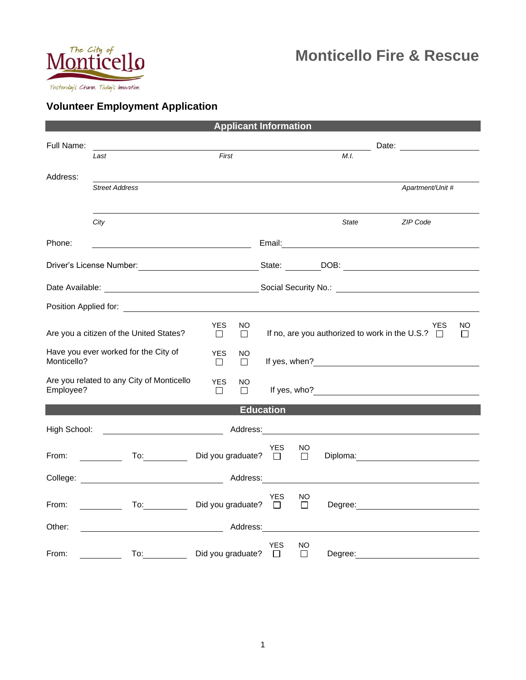

## **Monticello Fire & Rescue**

## **Volunteer Employment Application**

| <b>Applicant Information</b>                                                                                                                                                                                                   |                                                                                                                                                                                                                                     |                             |          |                      |                                                       |                                                                                                                                                                                                                               |                                                                                                                                                                                                                                                                      |  |
|--------------------------------------------------------------------------------------------------------------------------------------------------------------------------------------------------------------------------------|-------------------------------------------------------------------------------------------------------------------------------------------------------------------------------------------------------------------------------------|-----------------------------|----------|----------------------|-------------------------------------------------------|-------------------------------------------------------------------------------------------------------------------------------------------------------------------------------------------------------------------------------|----------------------------------------------------------------------------------------------------------------------------------------------------------------------------------------------------------------------------------------------------------------------|--|
| Full Name:                                                                                                                                                                                                                     |                                                                                                                                                                                                                                     |                             |          |                      |                                                       |                                                                                                                                                                                                                               | Date: <u>________________________</u>                                                                                                                                                                                                                                |  |
|                                                                                                                                                                                                                                | Last                                                                                                                                                                                                                                | First                       |          |                      |                                                       | M.I.                                                                                                                                                                                                                          |                                                                                                                                                                                                                                                                      |  |
| Address:                                                                                                                                                                                                                       | <b>Street Address</b>                                                                                                                                                                                                               |                             |          |                      |                                                       |                                                                                                                                                                                                                               | Apartment/Unit #                                                                                                                                                                                                                                                     |  |
|                                                                                                                                                                                                                                | City                                                                                                                                                                                                                                |                             |          |                      |                                                       | State                                                                                                                                                                                                                         | ZIP Code                                                                                                                                                                                                                                                             |  |
| Phone:                                                                                                                                                                                                                         | <u> 1980 - Johann Barn, mars ar breithinn ar breithinn ar breithinn ar breithinn ar breithinn ar breithinn ar br</u>                                                                                                                |                             |          |                      |                                                       | Email: 2008. 2009. 2010. 2010. 2010. 2010. 2010. 2010. 2010. 2011. 2012. 2012. 2014. 2016. 2017. 2017. 2017. 20                                                                                                               |                                                                                                                                                                                                                                                                      |  |
|                                                                                                                                                                                                                                | Driver's License Number: <u>Contract Communication</u> State: Communication DOB: Communication Communication Communication Communication Communication Communication Communication Communication Communication Communication Commun |                             |          |                      |                                                       |                                                                                                                                                                                                                               |                                                                                                                                                                                                                                                                      |  |
|                                                                                                                                                                                                                                |                                                                                                                                                                                                                                     |                             |          |                      |                                                       |                                                                                                                                                                                                                               |                                                                                                                                                                                                                                                                      |  |
| Position Applied for: The Contract of the Contract of the Contract of the Contract of the Contract of the Contract of the Contract of the Contract of the Contract of the Contract of the Contract of the Contract of the Cont |                                                                                                                                                                                                                                     |                             |          |                      |                                                       |                                                                                                                                                                                                                               |                                                                                                                                                                                                                                                                      |  |
| Are you a citizen of the United States?                                                                                                                                                                                        | <b>YES</b><br>$\Box$                                                                                                                                                                                                                | NO<br>□                     |          |                      | If no, are you authorized to work in the U.S.? $\Box$ | <b>YES</b>                                                                                                                                                                                                                    | NO<br>Π                                                                                                                                                                                                                                                              |  |
| Have you ever worked for the City of<br>Monticello?                                                                                                                                                                            |                                                                                                                                                                                                                                     | <b>YES</b><br>$\Box$        | ΝO<br>П  |                      |                                                       | If yes, when? The state of the state of the state of the state of the state of the state of the state of the state of the state of the state of the state of the state of the state of the state of the state of the state of |                                                                                                                                                                                                                                                                      |  |
| Are you related to any City of Monticello<br>Employee?                                                                                                                                                                         |                                                                                                                                                                                                                                     | <b>YES</b><br>$\Box$        | NO<br>П  |                      |                                                       |                                                                                                                                                                                                                               | If yes, who? $\frac{1}{2}$ is a set of $\frac{1}{2}$ is a set of $\frac{1}{2}$ is a set of $\frac{1}{2}$ is a set of $\frac{1}{2}$ is a set of $\frac{1}{2}$ is a set of $\frac{1}{2}$ is a set of $\frac{1}{2}$ is a set of $\frac{1}{2}$ is a set of $\frac{1}{2}$ |  |
|                                                                                                                                                                                                                                |                                                                                                                                                                                                                                     |                             |          | <b>Education</b>     |                                                       |                                                                                                                                                                                                                               |                                                                                                                                                                                                                                                                      |  |
| High School:<br>Address: Andreas and the Anti-                                                                                                                                                                                 |                                                                                                                                                                                                                                     |                             |          |                      |                                                       |                                                                                                                                                                                                                               |                                                                                                                                                                                                                                                                      |  |
| From:                                                                                                                                                                                                                          |                                                                                                                                                                                                                                     | Did you graduate?           |          | <b>YES</b><br>$\Box$ | NO<br>$\mathcal{L}$                                   |                                                                                                                                                                                                                               |                                                                                                                                                                                                                                                                      |  |
|                                                                                                                                                                                                                                |                                                                                                                                                                                                                                     |                             | Address: |                      |                                                       |                                                                                                                                                                                                                               |                                                                                                                                                                                                                                                                      |  |
| From:                                                                                                                                                                                                                          | To:                                                                                                                                                                                                                                 | Did you graduate? $\square$ |          | <b>YES</b>           | NO<br>$\Box$                                          |                                                                                                                                                                                                                               |                                                                                                                                                                                                                                                                      |  |
| Address:<br>Other:                                                                                                                                                                                                             |                                                                                                                                                                                                                                     |                             |          |                      |                                                       |                                                                                                                                                                                                                               |                                                                                                                                                                                                                                                                      |  |
| From:                                                                                                                                                                                                                          | To: the contract of the contract of the contract of the contract of the contract of the contract of the contract of the contract of the contract of the contract of the contract of the contract of the contract of the contra      | Did you graduate?           |          | <b>YES</b><br>$\Box$ | NO.<br>$\Box$                                         | Degree:                                                                                                                                                                                                                       |                                                                                                                                                                                                                                                                      |  |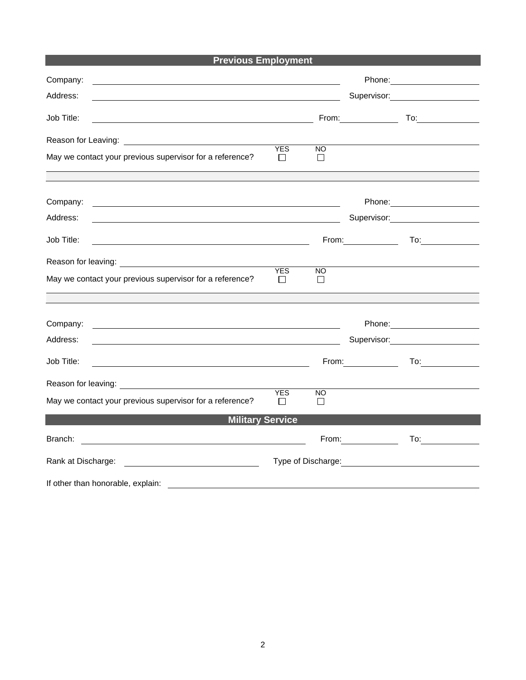**Previous Employment**

| Company:                                                                                                                            |                            |                     |                                                                                                                                                                                                                                |                                                                                                                                                                                                                                        |
|-------------------------------------------------------------------------------------------------------------------------------------|----------------------------|---------------------|--------------------------------------------------------------------------------------------------------------------------------------------------------------------------------------------------------------------------------|----------------------------------------------------------------------------------------------------------------------------------------------------------------------------------------------------------------------------------------|
| Address:                                                                                                                            |                            |                     |                                                                                                                                                                                                                                | Supervisor: Supervisor:                                                                                                                                                                                                                |
| Job Title:<br><u> 1980 - Johann Barbara, martin amerikan basar dan basa dan basa dan basa dalam basa dalam basa dalam basa dala</u> |                            |                     | From:                                                                                                                                                                                                                          | $\overline{a}$                                                                                                                                                                                                                         |
|                                                                                                                                     |                            |                     |                                                                                                                                                                                                                                |                                                                                                                                                                                                                                        |
| May we contact your previous supervisor for a reference?                                                                            | <b>YES</b><br>$\mathsf{L}$ | NO.<br>$\mathbf{1}$ |                                                                                                                                                                                                                                |                                                                                                                                                                                                                                        |
|                                                                                                                                     |                            |                     |                                                                                                                                                                                                                                |                                                                                                                                                                                                                                        |
| Company:<br><u> 1989 - Johann Barbara, marka a shekara ta 1989 - An tsara tsa 1989 - An tsara tsa 1989 - An tsara tsa 1989 -</u>    |                            |                     |                                                                                                                                                                                                                                | Phone: <u>_______________________________</u>                                                                                                                                                                                          |
| Address:<br><u> 1989 - Johann Stoff, amerikansk politiker (* 1908)</u>                                                              |                            |                     |                                                                                                                                                                                                                                | Supervisor: Victor Control of The Control of The Control of The Control of The Control of The Control of The Co                                                                                                                        |
| Job Title:                                                                                                                          |                            |                     | From: The contract of the contract of the contract of the contract of the contract of the contract of the contract of the contract of the contract of the contract of the contract of the contract of the contract of the cont | $\mathsf{To:}\qquad \qquad \overbrace{\qquad \qquad }$                                                                                                                                                                                 |
|                                                                                                                                     |                            |                     |                                                                                                                                                                                                                                |                                                                                                                                                                                                                                        |
| May we contact your previous supervisor for a reference?                                                                            | <b>YES</b><br>$\Box$       | NO.<br>$\mathsf{L}$ |                                                                                                                                                                                                                                |                                                                                                                                                                                                                                        |
|                                                                                                                                     |                            |                     |                                                                                                                                                                                                                                |                                                                                                                                                                                                                                        |
| Company:<br><u> 1989 - Johann Barn, mars ann an t-Amhain ann an t-Amhain ann an t-Amhain ann an t-Amhain an t-Amhain ann an t-</u>  |                            |                     |                                                                                                                                                                                                                                |                                                                                                                                                                                                                                        |
| Address:                                                                                                                            |                            |                     |                                                                                                                                                                                                                                | Supervisor: _________________                                                                                                                                                                                                          |
| Job Title:                                                                                                                          |                            | From:               | <u>and the community of the community</u>                                                                                                                                                                                      | To: $\qquad \qquad \qquad$                                                                                                                                                                                                             |
|                                                                                                                                     |                            |                     |                                                                                                                                                                                                                                |                                                                                                                                                                                                                                        |
| May we contact your previous supervisor for a reference?                                                                            | <b>YES</b><br>$\Box$       | NO.<br>$\perp$      |                                                                                                                                                                                                                                |                                                                                                                                                                                                                                        |
| <b>Military Service</b>                                                                                                             |                            |                     |                                                                                                                                                                                                                                |                                                                                                                                                                                                                                        |
| Branch:                                                                                                                             |                            |                     | From: $\sqrt{2\pi r}$                                                                                                                                                                                                          | To: $\qquad \qquad \qquad$                                                                                                                                                                                                             |
|                                                                                                                                     |                            |                     |                                                                                                                                                                                                                                | Type of Discharge:<br><u> Letter and the contract of the contract of the contract of the contract of the contract of the contract of the contract of the contract of the contract of the contract of the contract of the contract </u> |
| If other than honorable, explain:                                                                                                   |                            |                     |                                                                                                                                                                                                                                |                                                                                                                                                                                                                                        |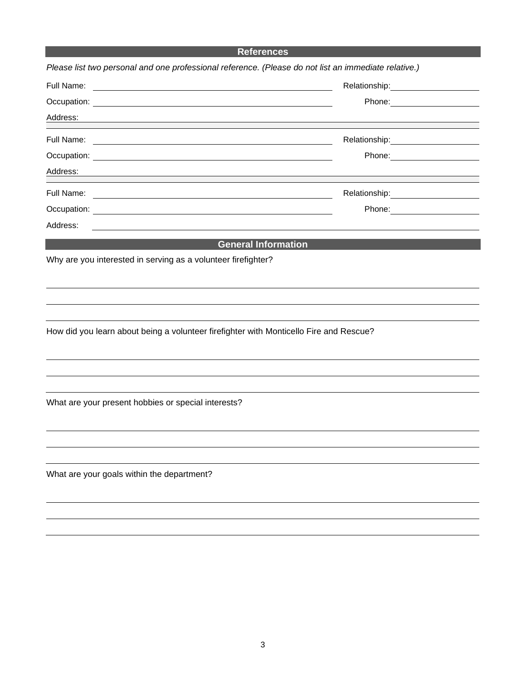## **References**

| Please list two personal and one professional reference. (Please do not list an immediate relative.)                                                                                                                                      |                                                                                                                 |
|-------------------------------------------------------------------------------------------------------------------------------------------------------------------------------------------------------------------------------------------|-----------------------------------------------------------------------------------------------------------------|
|                                                                                                                                                                                                                                           |                                                                                                                 |
| Occupation: <u>contract the contract of the contract of the contract of the contract of the contract of the contract of the contract of the contract of the contract of the contract of the contract of the contract of the cont</u>      |                                                                                                                 |
| Address:                                                                                                                                                                                                                                  |                                                                                                                 |
|                                                                                                                                                                                                                                           | Relationship: \\square\\square\\square\\square\\square\\square\\square\\square\\square\\square\\square\\square\ |
|                                                                                                                                                                                                                                           |                                                                                                                 |
| Address:                                                                                                                                                                                                                                  |                                                                                                                 |
|                                                                                                                                                                                                                                           | Relationship: 2000                                                                                              |
|                                                                                                                                                                                                                                           | Phone: _______________________                                                                                  |
| Address:<br>the control of the control of the control of the control of the control of the control of the control of the control of the control of the control of the control of the control of the control of the control of the control |                                                                                                                 |
|                                                                                                                                                                                                                                           | <b>General Information</b>                                                                                      |
| Why are you interested in serving as a volunteer firefighter?                                                                                                                                                                             |                                                                                                                 |
|                                                                                                                                                                                                                                           |                                                                                                                 |
|                                                                                                                                                                                                                                           |                                                                                                                 |
|                                                                                                                                                                                                                                           |                                                                                                                 |
| How did you learn about being a volunteer firefighter with Monticello Fire and Rescue?                                                                                                                                                    |                                                                                                                 |
|                                                                                                                                                                                                                                           |                                                                                                                 |
|                                                                                                                                                                                                                                           |                                                                                                                 |
|                                                                                                                                                                                                                                           |                                                                                                                 |
| What are your present hobbies or special interests?                                                                                                                                                                                       |                                                                                                                 |
|                                                                                                                                                                                                                                           |                                                                                                                 |
|                                                                                                                                                                                                                                           |                                                                                                                 |
|                                                                                                                                                                                                                                           |                                                                                                                 |
| What are your goals within the department?                                                                                                                                                                                                |                                                                                                                 |
|                                                                                                                                                                                                                                           |                                                                                                                 |
|                                                                                                                                                                                                                                           |                                                                                                                 |
|                                                                                                                                                                                                                                           |                                                                                                                 |
|                                                                                                                                                                                                                                           |                                                                                                                 |
|                                                                                                                                                                                                                                           |                                                                                                                 |